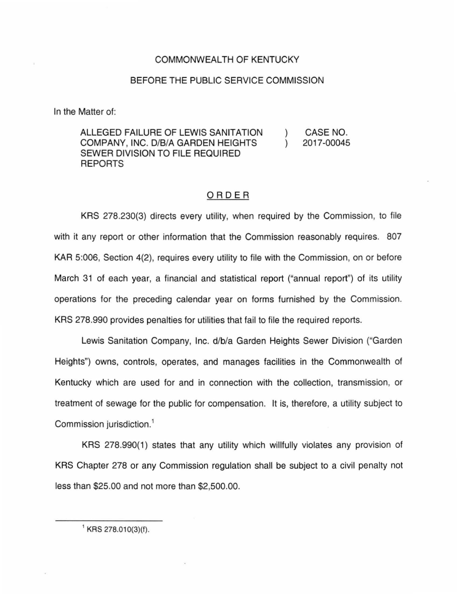## COMMONWEALTH OF KENTUCKY

## BEFORE THE PUBLIC SERVICE COMMISSION

In the Matter of:

## ALLEGED FAILURE OF LEWIS SANITATION COMPANY, INC. D/B/A GARDEN HEIGHTS SEWER DIVISION TO FILE REQUIRED REPORTS ) CASE NO. ) 20 17-00045

## ORDER

KRS 278.230(3) directs every utility, when required by the Commission, to file with it any report or other information that the Commission reasonably requires. 807 KAR 5:006, Section 4(2), requires every utility to file with the Commission, on or before March 31 of each year, a financial and statistical report ("annual report") of its utility operations for the preceding calendar year on forms furnished by the Commission. KRS 278.990 provides penalties for utilities that fail to file the required reports.

Lewis Sanitation Company, Inc. d/b/a Garden Heights Sewer Division ("Garden Heights") owns, controls, operates, and manages facilities in the Commonwealth of Kentucky which are used for and in connection with the collection, transmission, or treatment of sewage for the public for compensation. It is, therefore, a utility subject to Commission jurisdiction. 1

KRS 278.990(1) states that any utility which willfully violates any provision of KRS Chapter 278 or any Commission regulation shall be subject to a civil penalty not less than \$25.00 and not more than \$2,500.00.

 $^1$  KRS 278.010(3)(f).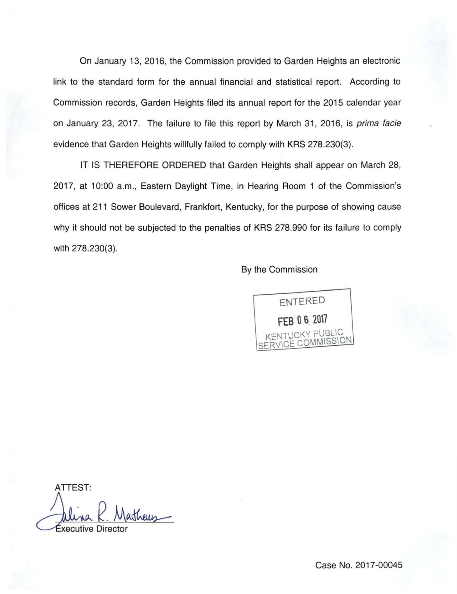On January 13, 2016, the Commission provided to Garden Heights an electronic link to the standard form for the annual financial and statistical report. According to Commission records, Garden Heights filed its annual report for the 2015 calendar year on January 23, 2017. The failure to file this report by March 31, 2016, is prima facie evidence that Garden Heights willfully failed to comply with KRS 278.230(3).

IT IS THEREFORE ORDERED that Garden Heights shall appear on March 28, 2017, at 10:00 a.m., Eastern Daylight Time, in Hearing Room 1 of the Commission's offices at 211 Sower Boulevard, Frankfort, Kentucky, for the purpose of showing cause why it should not be subjected to the penalties of KRS 278.990 for its failure to comply with 278.230(3).

By the Commission



ATTEST: ATTEST:<br>Allina R. Matheus

Case No. 2017-00045